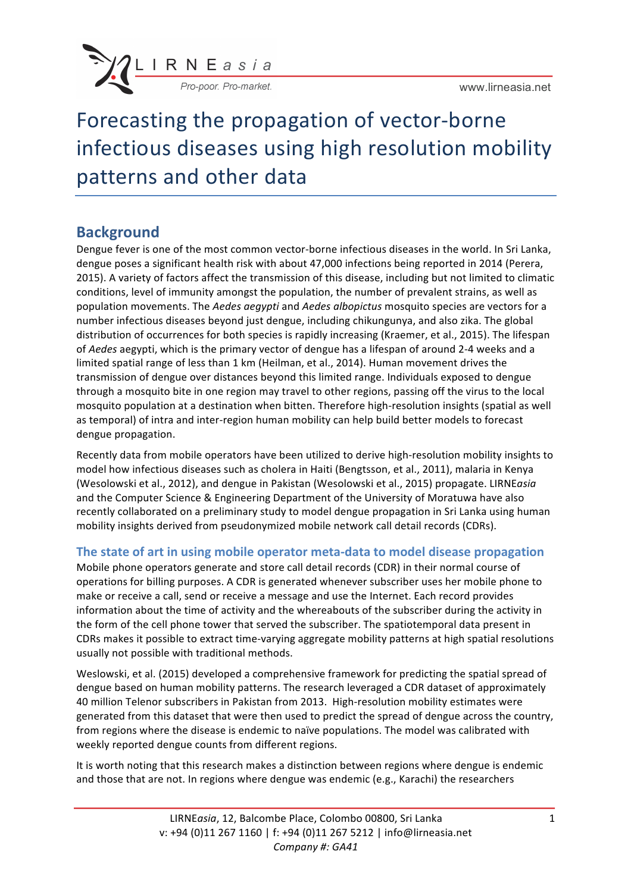

Forecasting the propagation of vector-borne infectious diseases using high resolution mobility patterns and other data

## **Background**

Dengue fever is one of the most common vector-borne infectious diseases in the world. In Sri Lanka, dengue poses a significant health risk with about 47,000 infections being reported in 2014 (Perera, 2015). A variety of factors affect the transmission of this disease, including but not limited to climatic conditions, level of immunity amongst the population, the number of prevalent strains, as well as population movements. The *Aedes aegypti* and *Aedes albopictus* mosquito species are vectors for a number infectious diseases beyond just dengue, including chikungunya, and also zika. The global distribution of occurrences for both species is rapidly increasing (Kraemer, et al., 2015). The lifespan of *Aedes* aegypti, which is the primary vector of dengue has a lifespan of around 2-4 weeks and a limited spatial range of less than 1 km (Heilman, et al., 2014). Human movement drives the transmission of dengue over distances beyond this limited range. Individuals exposed to dengue through a mosquito bite in one region may travel to other regions, passing off the virus to the local mosquito population at a destination when bitten. Therefore high-resolution insights (spatial as well as temporal) of intra and inter-region human mobility can help build better models to forecast dengue propagation.

Recently data from mobile operators have been utilized to derive high-resolution mobility insights to model how infectious diseases such as cholera in Haiti (Bengtsson, et al., 2011), malaria in Kenya (Wesolowski et al., 2012), and dengue in Pakistan (Wesolowski et al., 2015) propagate. LIRNE*asia* and the Computer Science & Engineering Department of the University of Moratuwa have also recently collaborated on a preliminary study to model dengue propagation in Sri Lanka using human mobility insights derived from pseudonymized mobile network call detail records (CDRs).

#### **The state of art in using mobile operator meta-data to model disease propagation**

Mobile phone operators generate and store call detail records (CDR) in their normal course of operations for billing purposes. A CDR is generated whenever subscriber uses her mobile phone to make or receive a call, send or receive a message and use the Internet. Each record provides information about the time of activity and the whereabouts of the subscriber during the activity in the form of the cell phone tower that served the subscriber. The spatiotemporal data present in CDRs makes it possible to extract time-varying aggregate mobility patterns at high spatial resolutions usually not possible with traditional methods.

Weslowski, et al. (2015) developed a comprehensive framework for predicting the spatial spread of dengue based on human mobility patterns. The research leveraged a CDR dataset of approximately 40 million Telenor subscribers in Pakistan from 2013. High-resolution mobility estimates were generated from this dataset that were then used to predict the spread of dengue across the country, from regions where the disease is endemic to naïve populations. The model was calibrated with weekly reported dengue counts from different regions.

It is worth noting that this research makes a distinction between regions where dengue is endemic and those that are not. In regions where dengue was endemic (e.g., Karachi) the researchers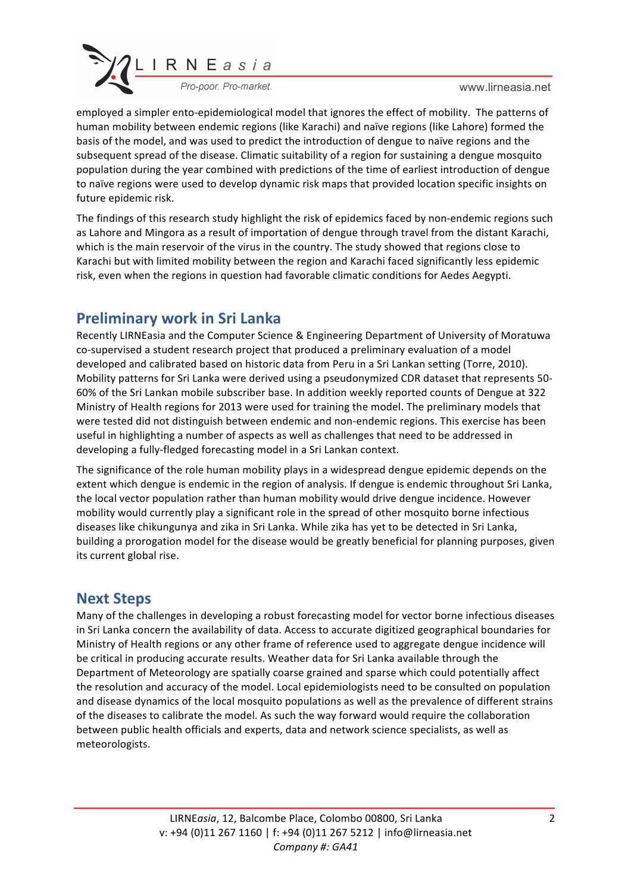

www.lirneasia.net

employed a simpler ento-epidemiological model that ignores the effect of mobility. The patterns of human mobility between endemic regions (like Karachi) and naïve regions (like Lahore) formed the basis of the model, and was used to predict the introduction of dengue to naïve regions and the subsequent spread of the disease. Climatic suitability of a region for sustaining a dengue mosquito population during the year combined with predictions of the time of earliest introduction of dengue to naïve regions were used to develop dynamic risk maps that provided location specific insights on future epidemic risk.

The findings of this research study highlight the risk of epidemics faced by non-endemic regions such as Lahore and Mingora as a result of importation of dengue through travel from the distant Karachi, which is the main reservoir of the virus in the country. The study showed that regions close to Karachi but with limited mobility between the region and Karachi faced significantly less epidemic risk, even when the regions in question had favorable climatic conditions for Aedes Aegypti.

# **Preliminary work in Sri Lanka**

Recently LIRNEasia and the Computer Science & Engineering Department of University of Moratuwa co-supervised a student research project that produced a preliminary evaluation of a model developed and calibrated based on historic data from Peru in a Sri Lankan setting (Torre, 2010). Mobility patterns for Sri Lanka were derived using a pseudonymized CDR dataset that represents 50-60% of the Sri Lankan mobile subscriber base. In addition weekly reported counts of Dengue at 322 Ministry of Health regions for 2013 were used for training the model. The preliminary models that were tested did not distinguish between endemic and non-endemic regions. This exercise has been useful in highlighting a number of aspects as well as challenges that need to be addressed in developing a fully-fledged forecasting model in a Sri Lankan context.

The significance of the role human mobility plays in a widespread dengue epidemic depends on the extent which dengue is endemic in the region of analysis. If dengue is endemic throughout Sri Lanka, the local vector population rather than human mobility would drive dengue incidence. However mobility would currently play a significant role in the spread of other mosquito borne infectious diseases like chikungunya and zika in Sri Lanka. While zika has yet to be detected in Sri Lanka, building a prorogation model for the disease would be greatly beneficial for planning purposes, given its current global rise.

#### **Next Steps**

Many of the challenges in developing a robust forecasting model for vector borne infectious diseases in Sri Lanka concern the availability of data. Access to accurate digitized geographical boundaries for Ministry of Health regions or any other frame of reference used to aggregate dengue incidence will be critical in producing accurate results. Weather data for Sri Lanka available through the Department of Meteorology are spatially coarse grained and sparse which could potentially affect the resolution and accuracy of the model. Local epidemiologists need to be consulted on population and disease dynamics of the local mosquito populations as well as the prevalence of different strains of the diseases to calibrate the model. As such the way forward would require the collaboration between public health officials and experts, data and network science specialists, as well as meteorologists.